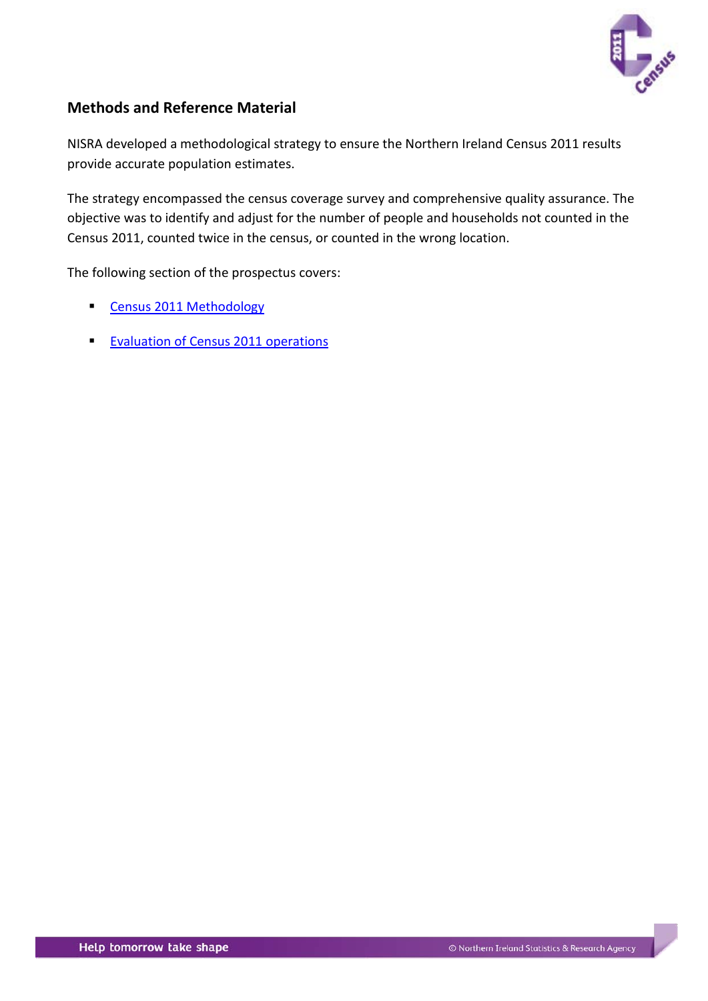

# <span id="page-0-0"></span>**Methods and Reference Material**

NISRA developed a methodological strategy to ensure the Northern Ireland Census 2011 results provide accurate population estimates.

The strategy encompassed the census coverage survey and comprehensive quality assurance. The objective was to identify and adjust for the number of people and households not counted in the Census 2011, counted twice in the census, or counted in the wrong location.

The following section of the prospectus covers:

- **[Census 2011 Methodology](#page-1-0)**
- **[Evaluation of Census 2011 operations](#page-1-0)**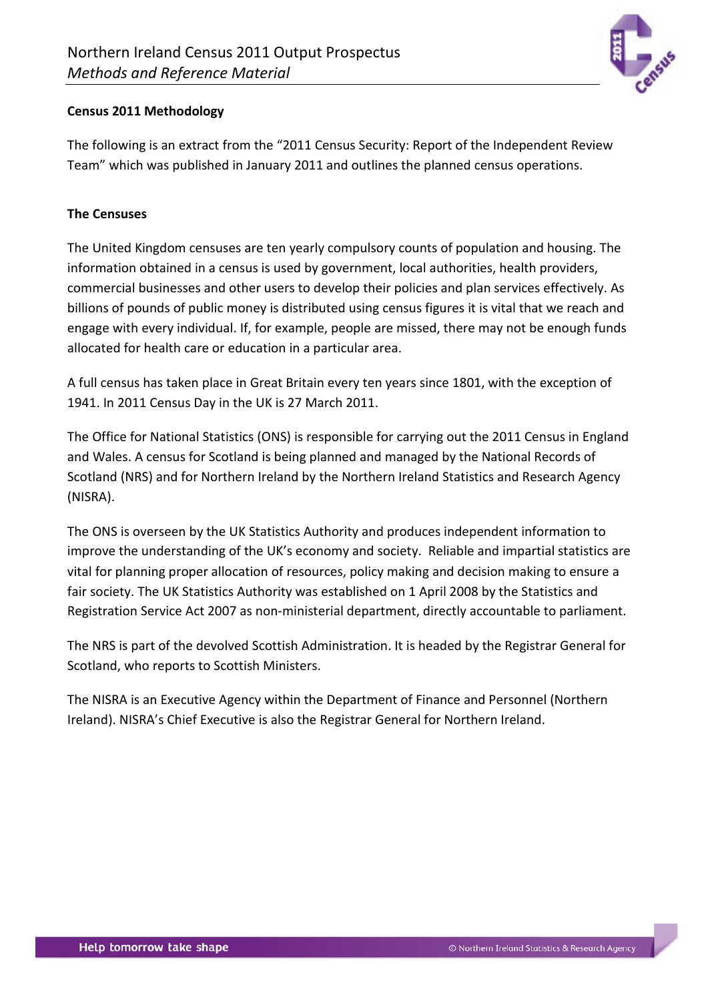

## <span id="page-1-0"></span>**Census 2011 Methodology**

The following is an extract from the "2011 Census Security: Report of the Independent Review Team" which was published in January 2011 and outlines the planned census operations.

### **The Censuses**

The United Kingdom censuses are ten yearly compulsory counts of population and housing. The information obtained in a census is used by government, local authorities, health providers, commercial businesses and other users to develop their policies and plan services effectively. As billions of pounds of public money is distributed using census figures it is vital that we reach and engage with every individual. If, for example, people are missed, there may not be enough funds allocated for health care or education in a particular area.

A full census has taken place in Great Britain every ten years since 1801, with the exception of 1941. In 2011 Census Day in the UK is 27 March 2011.

The Office for National Statistics (ONS) is responsible for carrying out the 2011 Census in England and Wales. A census for Scotland is being planned and managed by the National Records of Scotland (NRS) and for Northern Ireland by the Northern Ireland Statistics and Research Agency (NISRA).

The ONS is overseen by the UK Statistics Authority and produces independent information to improve the understanding of the UK's economy and society. Reliable and impartial statistics are vital for planning proper allocation of resources, policy making and decision making to ensure a fair society. The UK Statistics Authority was established on 1 April 2008 by the Statistics and Registration Service Act 2007 as non-ministerial department, directly accountable to parliament.

The NRS is part of the devolved Scottish Administration. It is headed by the Registrar General for Scotland, who reports to Scottish Ministers.

The NISRA is an Executive Agency within the Department of Finance and Personnel (Northern Ireland). NISRA's Chief Executive is also the Registrar General for Northern Ireland.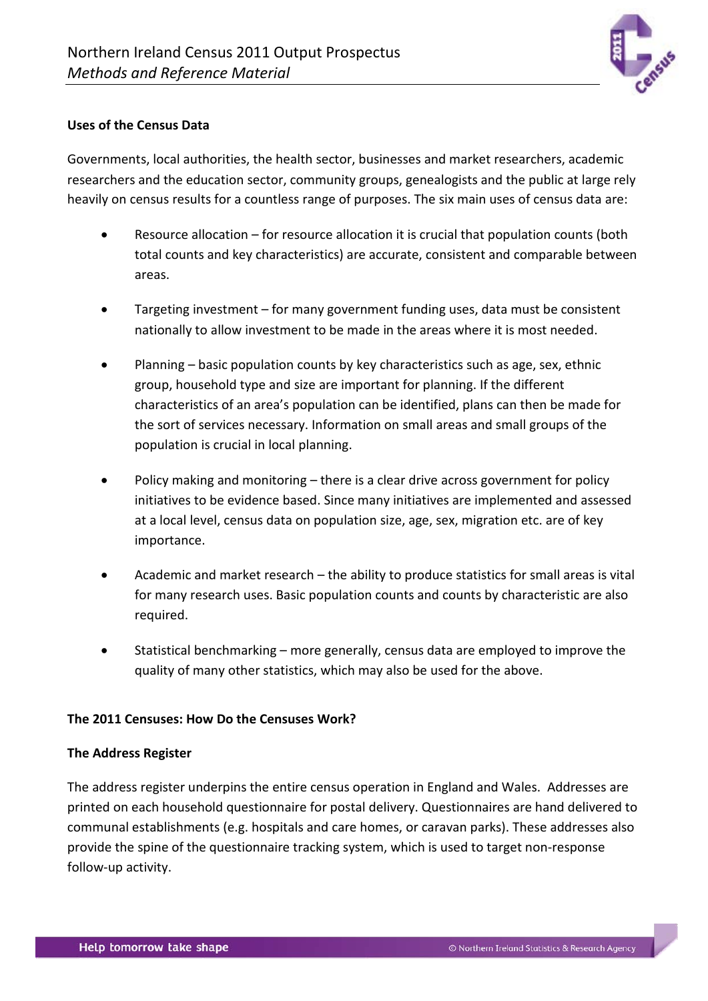

#### **Uses of the Census Data**

Governments, local authorities, the health sector, businesses and market researchers, academic researchers and the education sector, community groups, genealogists and the public at large rely heavily on census results for a countless range of purposes. The six main uses of census data are:

- Resource allocation for resource allocation it is crucial that population counts (both total counts and key characteristics) are accurate, consistent and comparable between areas.
- Targeting investment for many government funding uses, data must be consistent nationally to allow investment to be made in the areas where it is most needed.
- Planning basic population counts by key characteristics such as age, sex, ethnic group, household type and size are important for planning. If the different characteristics of an area's population can be identified, plans can then be made for the sort of services necessary. Information on small areas and small groups of the population is crucial in local planning.
- Policy making and monitoring there is a clear drive across government for policy initiatives to be evidence based. Since many initiatives are implemented and assessed at a local level, census data on population size, age, sex, migration etc. are of key importance.
- Academic and market research the ability to produce statistics for small areas is vital for many research uses. Basic population counts and counts by characteristic are also required.
- Statistical benchmarking more generally, census data are employed to improve the quality of many other statistics, which may also be used for the above.

#### **The 2011 Censuses: How Do the Censuses Work?**

#### **The Address Register**

The address register underpins the entire census operation in England and Wales. Addresses are printed on each household questionnaire for postal delivery. Questionnaires are hand delivered to communal establishments (e.g. hospitals and care homes, or caravan parks). These addresses also provide the spine of the questionnaire tracking system, which is used to target non-response follow-up activity.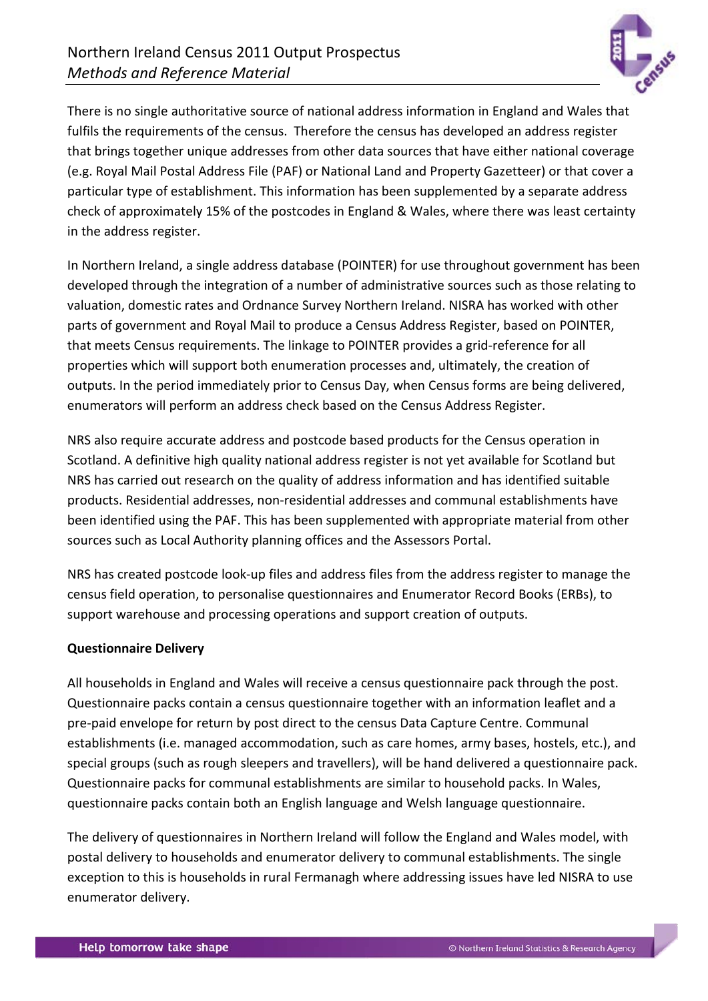

There is no single authoritative source of national address information in England and Wales that fulfils the requirements of the census. Therefore the census has developed an address register that brings together unique addresses from other data sources that have either national coverage (e.g. Royal Mail Postal Address File (PAF) or National Land and Property Gazetteer) or that cover a particular type of establishment. This information has been supplemented by a separate address check of approximately 15% of the postcodes in England & Wales, where there was least certainty in the address register.

In Northern Ireland, a single address database (POINTER) for use throughout government has been developed through the integration of a number of administrative sources such as those relating to valuation, domestic rates and Ordnance Survey Northern Ireland. NISRA has worked with other parts of government and Royal Mail to produce a Census Address Register, based on POINTER, that meets Census requirements. The linkage to POINTER provides a grid-reference for all properties which will support both enumeration processes and, ultimately, the creation of outputs. In the period immediately prior to Census Day, when Census forms are being delivered, enumerators will perform an address check based on the Census Address Register.

NRS also require accurate address and postcode based products for the Census operation in Scotland. A definitive high quality national address register is not yet available for Scotland but NRS has carried out research on the quality of address information and has identified suitable products. Residential addresses, non-residential addresses and communal establishments have been identified using the PAF. This has been supplemented with appropriate material from other sources such as Local Authority planning offices and the Assessors Portal.

NRS has created postcode look-up files and address files from the address register to manage the census field operation, to personalise questionnaires and Enumerator Record Books (ERBs), to support warehouse and processing operations and support creation of outputs.

### **Questionnaire Delivery**

All households in England and Wales will receive a census questionnaire pack through the post. Questionnaire packs contain a census questionnaire together with an information leaflet and a pre-paid envelope for return by post direct to the census Data Capture Centre. Communal establishments (i.e. managed accommodation, such as care homes, army bases, hostels, etc.), and special groups (such as rough sleepers and travellers), will be hand delivered a questionnaire pack. Questionnaire packs for communal establishments are similar to household packs. In Wales, questionnaire packs contain both an English language and Welsh language questionnaire.

The delivery of questionnaires in Northern Ireland will follow the England and Wales model, with postal delivery to households and enumerator delivery to communal establishments. The single exception to this is households in rural Fermanagh where addressing issues have led NISRA to use enumerator delivery.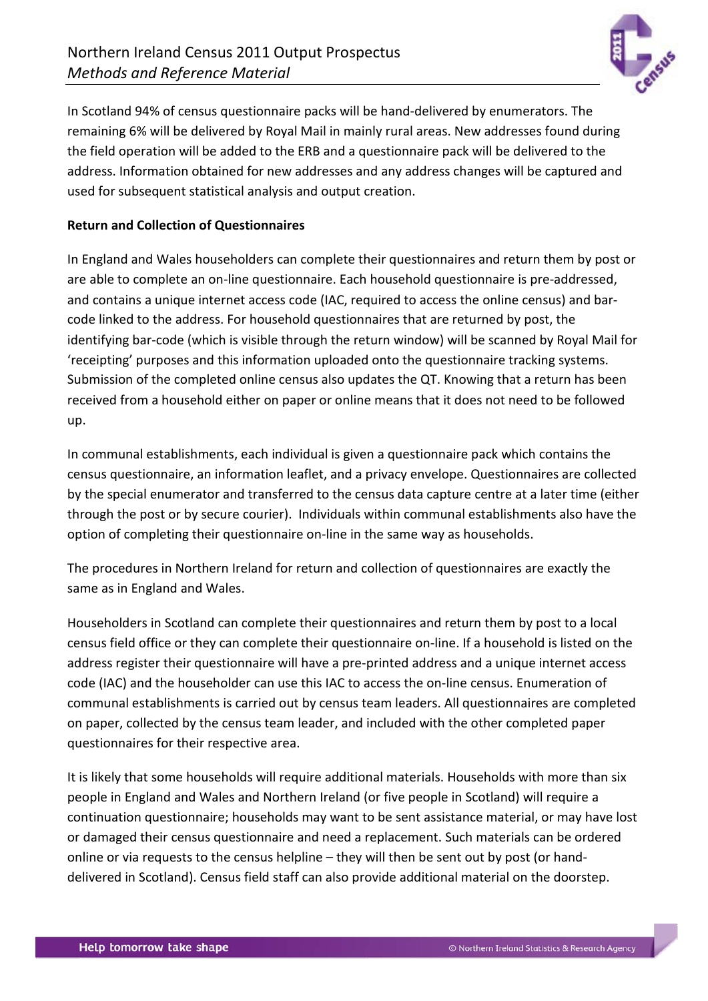

In Scotland 94% of census questionnaire packs will be hand-delivered by enumerators. The remaining 6% will be delivered by Royal Mail in mainly rural areas. New addresses found during the field operation will be added to the ERB and a questionnaire pack will be delivered to the address. Information obtained for new addresses and any address changes will be captured and used for subsequent statistical analysis and output creation.

### **Return and Collection of Questionnaires**

In England and Wales householders can complete their questionnaires and return them by post or are able to complete an on-line questionnaire. Each household questionnaire is pre-addressed, and contains a unique internet access code (IAC, required to access the online census) and barcode linked to the address. For household questionnaires that are returned by post, the identifying bar-code (which is visible through the return window) will be scanned by Royal Mail for 'receipting' purposes and this information uploaded onto the questionnaire tracking systems. Submission of the completed online census also updates the QT. Knowing that a return has been received from a household either on paper or online means that it does not need to be followed up.

In communal establishments, each individual is given a questionnaire pack which contains the census questionnaire, an information leaflet, and a privacy envelope. Questionnaires are collected by the special enumerator and transferred to the census data capture centre at a later time (either through the post or by secure courier). Individuals within communal establishments also have the option of completing their questionnaire on-line in the same way as households.

The procedures in Northern Ireland for return and collection of questionnaires are exactly the same as in England and Wales.

Householders in Scotland can complete their questionnaires and return them by post to a local census field office or they can complete their questionnaire on-line. If a household is listed on the address register their questionnaire will have a pre-printed address and a unique internet access code (IAC) and the householder can use this IAC to access the on-line census. Enumeration of communal establishments is carried out by census team leaders. All questionnaires are completed on paper, collected by the census team leader, and included with the other completed paper questionnaires for their respective area.

It is likely that some households will require additional materials. Households with more than six people in England and Wales and Northern Ireland (or five people in Scotland) will require a continuation questionnaire; households may want to be sent assistance material, or may have lost or damaged their census questionnaire and need a replacement. Such materials can be ordered online or via requests to the census helpline – they will then be sent out by post (or handdelivered in Scotland). Census field staff can also provide additional material on the doorstep.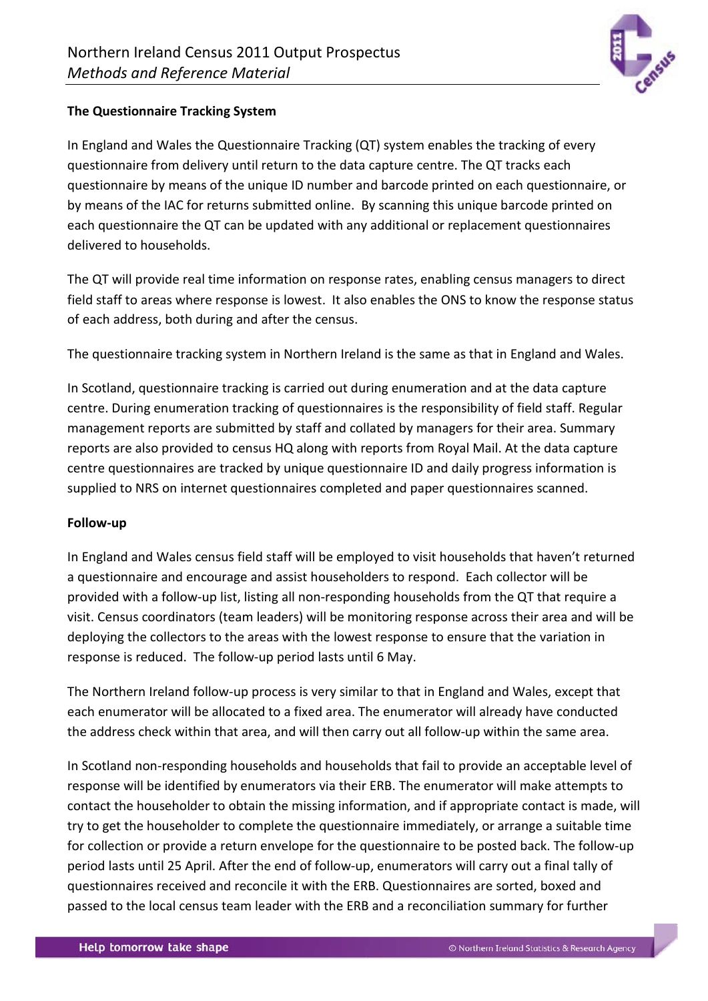

## **The Questionnaire Tracking System**

In England and Wales the Questionnaire Tracking (QT) system enables the tracking of every questionnaire from delivery until return to the data capture centre. The QT tracks each questionnaire by means of the unique ID number and barcode printed on each questionnaire, or by means of the IAC for returns submitted online. By scanning this unique barcode printed on each questionnaire the QT can be updated with any additional or replacement questionnaires delivered to households.

The QT will provide real time information on response rates, enabling census managers to direct field staff to areas where response is lowest. It also enables the ONS to know the response status of each address, both during and after the census.

The questionnaire tracking system in Northern Ireland is the same as that in England and Wales.

In Scotland, questionnaire tracking is carried out during enumeration and at the data capture centre. During enumeration tracking of questionnaires is the responsibility of field staff. Regular management reports are submitted by staff and collated by managers for their area. Summary reports are also provided to census HQ along with reports from Royal Mail. At the data capture centre questionnaires are tracked by unique questionnaire ID and daily progress information is supplied to NRS on internet questionnaires completed and paper questionnaires scanned.

### **Follow-up**

In England and Wales census field staff will be employed to visit households that haven't returned a questionnaire and encourage and assist householders to respond. Each collector will be provided with a follow-up list, listing all non-responding households from the QT that require a visit. Census coordinators (team leaders) will be monitoring response across their area and will be deploying the collectors to the areas with the lowest response to ensure that the variation in response is reduced. The follow-up period lasts until 6 May.

The Northern Ireland follow-up process is very similar to that in England and Wales, except that each enumerator will be allocated to a fixed area. The enumerator will already have conducted the address check within that area, and will then carry out all follow-up within the same area.

In Scotland non-responding households and households that fail to provide an acceptable level of response will be identified by enumerators via their ERB. The enumerator will make attempts to contact the householder to obtain the missing information, and if appropriate contact is made, will try to get the householder to complete the questionnaire immediately, or arrange a suitable time for collection or provide a return envelope for the questionnaire to be posted back. The follow-up period lasts until 25 April. After the end of follow-up, enumerators will carry out a final tally of questionnaires received and reconcile it with the ERB. Questionnaires are sorted, boxed and passed to the local census team leader with the ERB and a reconciliation summary for further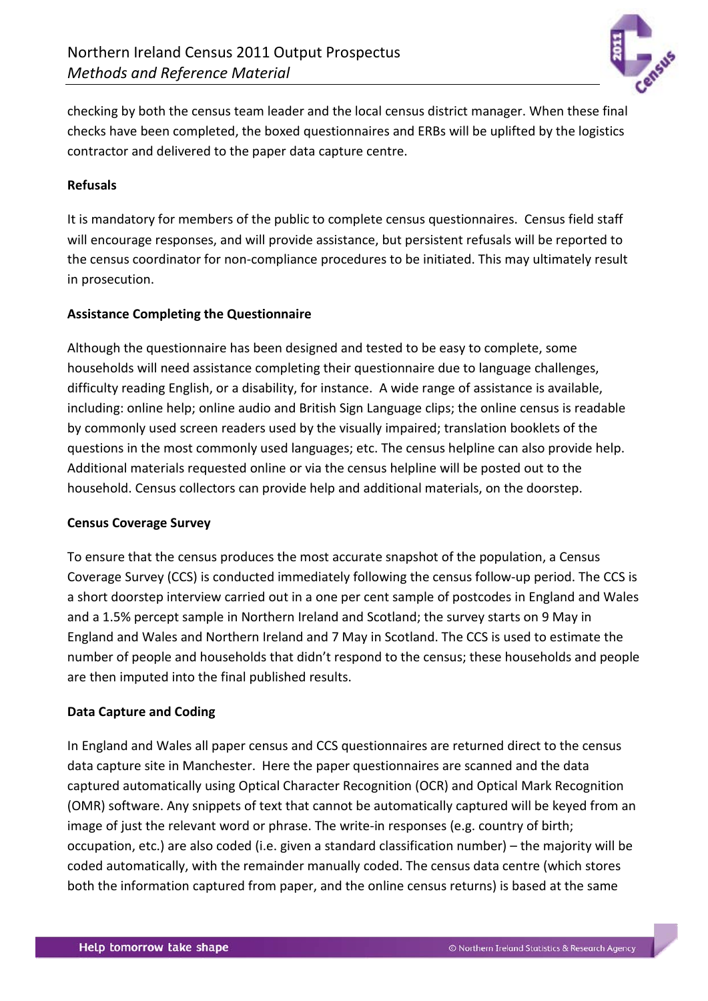

checking by both the census team leader and the local census district manager. When these final checks have been completed, the boxed questionnaires and ERBs will be uplifted by the logistics contractor and delivered to the paper data capture centre.

## **Refusals**

It is mandatory for members of the public to complete census questionnaires. Census field staff will encourage responses, and will provide assistance, but persistent refusals will be reported to the census coordinator for non-compliance procedures to be initiated. This may ultimately result in prosecution.

### **Assistance Completing the Questionnaire**

Although the questionnaire has been designed and tested to be easy to complete, some households will need assistance completing their questionnaire due to language challenges, difficulty reading English, or a disability, for instance. A wide range of assistance is available, including: online help; online audio and British Sign Language clips; the online census is readable by commonly used screen readers used by the visually impaired; translation booklets of the questions in the most commonly used languages; etc. The census helpline can also provide help. Additional materials requested online or via the census helpline will be posted out to the household. Census collectors can provide help and additional materials, on the doorstep.

### **Census Coverage Survey**

To ensure that the census produces the most accurate snapshot of the population, a Census Coverage Survey (CCS) is conducted immediately following the census follow-up period. The CCS is a short doorstep interview carried out in a one per cent sample of postcodes in England and Wales and a 1.5% percept sample in Northern Ireland and Scotland; the survey starts on 9 May in England and Wales and Northern Ireland and 7 May in Scotland. The CCS is used to estimate the number of people and households that didn't respond to the census; these households and people are then imputed into the final published results.

### **Data Capture and Coding**

In England and Wales all paper census and CCS questionnaires are returned direct to the census data capture site in Manchester. Here the paper questionnaires are scanned and the data captured automatically using Optical Character Recognition (OCR) and Optical Mark Recognition (OMR) software. Any snippets of text that cannot be automatically captured will be keyed from an image of just the relevant word or phrase. The write-in responses (e.g. country of birth; occupation, etc.) are also coded (i.e. given a standard classification number) – the majority will be coded automatically, with the remainder manually coded. The census data centre (which stores both the information captured from paper, and the online census returns) is based at the same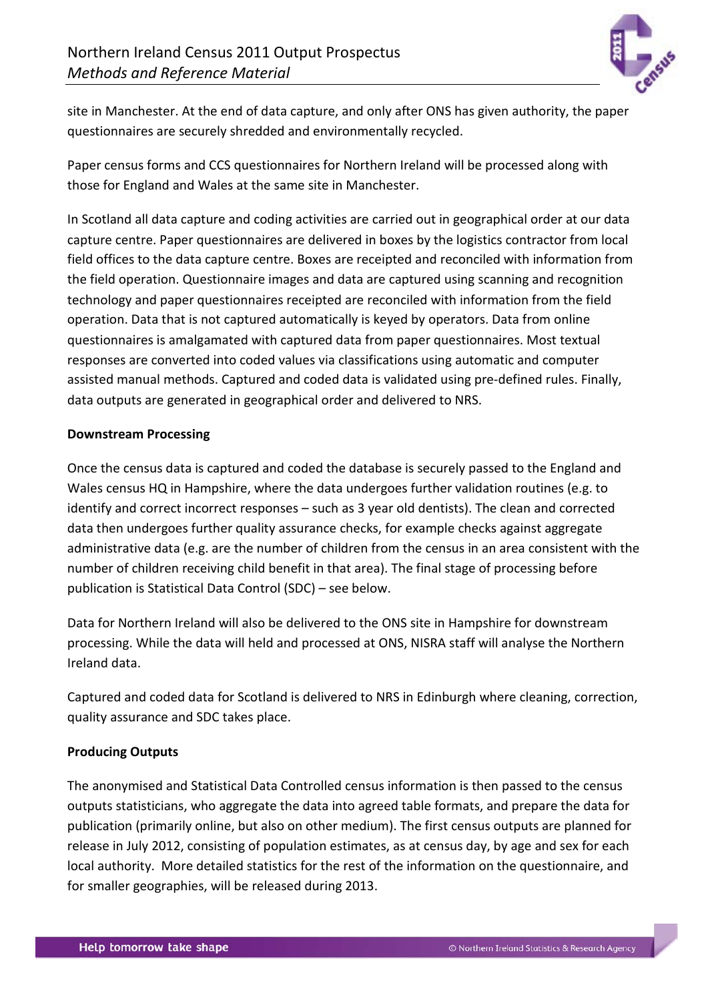

site in Manchester. At the end of data capture, and only after ONS has given authority, the paper questionnaires are securely shredded and environmentally recycled.

Paper census forms and CCS questionnaires for Northern Ireland will be processed along with those for England and Wales at the same site in Manchester.

In Scotland all data capture and coding activities are carried out in geographical order at our data capture centre. Paper questionnaires are delivered in boxes by the logistics contractor from local field offices to the data capture centre. Boxes are receipted and reconciled with information from the field operation. Questionnaire images and data are captured using scanning and recognition technology and paper questionnaires receipted are reconciled with information from the field operation. Data that is not captured automatically is keyed by operators. Data from online questionnaires is amalgamated with captured data from paper questionnaires. Most textual responses are converted into coded values via classifications using automatic and computer assisted manual methods. Captured and coded data is validated using pre-defined rules. Finally, data outputs are generated in geographical order and delivered to NRS.

#### **Downstream Processing**

Once the census data is captured and coded the database is securely passed to the England and Wales census HQ in Hampshire, where the data undergoes further validation routines (e.g. to identify and correct incorrect responses – such as 3 year old dentists). The clean and corrected data then undergoes further quality assurance checks, for example checks against aggregate administrative data (e.g. are the number of children from the census in an area consistent with the number of children receiving child benefit in that area). The final stage of processing before publication is Statistical Data Control (SDC) – see below.

Data for Northern Ireland will also be delivered to the ONS site in Hampshire for downstream processing. While the data will held and processed at ONS, NISRA staff will analyse the Northern Ireland data.

Captured and coded data for Scotland is delivered to NRS in Edinburgh where cleaning, correction, quality assurance and SDC takes place.

### **Producing Outputs**

The anonymised and Statistical Data Controlled census information is then passed to the census outputs statisticians, who aggregate the data into agreed table formats, and prepare the data for publication (primarily online, but also on other medium). The first census outputs are planned for release in July 2012, consisting of population estimates, as at census day, by age and sex for each local authority. More detailed statistics for the rest of the information on the questionnaire, and for smaller geographies, will be released during 2013.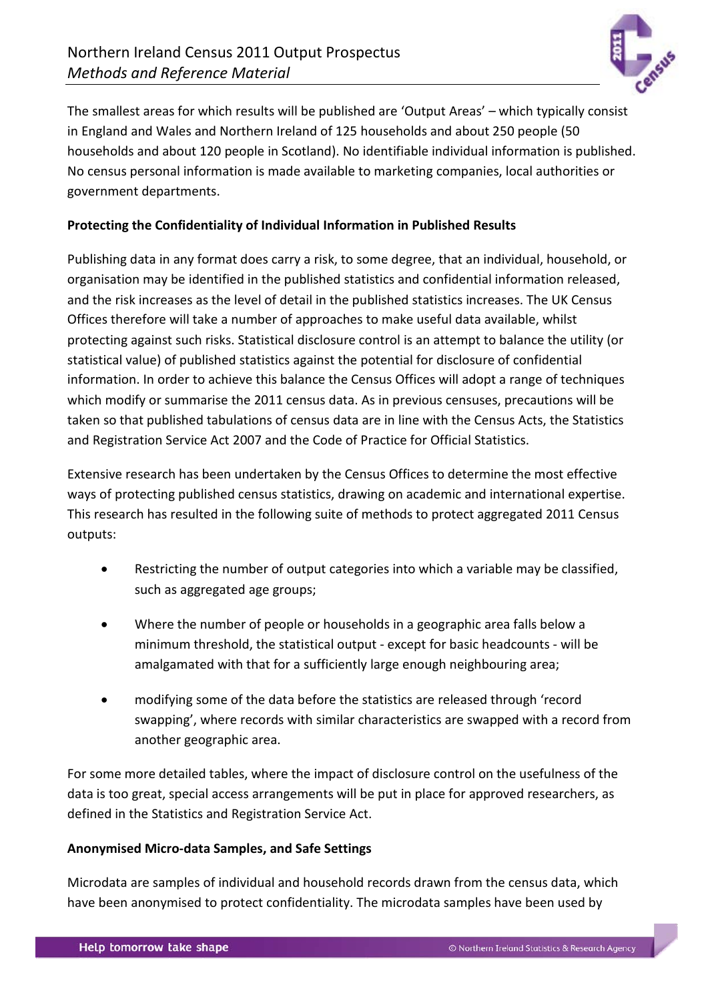

The smallest areas for which results will be published are 'Output Areas' – which typically consist in England and Wales and Northern Ireland of 125 households and about 250 people (50 households and about 120 people in Scotland). No identifiable individual information is published. No census personal information is made available to marketing companies, local authorities or government departments.

### **Protecting the Confidentiality of Individual Information in Published Results**

Publishing data in any format does carry a risk, to some degree, that an individual, household, or organisation may be identified in the published statistics and confidential information released, and the risk increases as the level of detail in the published statistics increases. The UK Census Offices therefore will take a number of approaches to make useful data available, whilst protecting against such risks. Statistical disclosure control is an attempt to balance the utility (or statistical value) of published statistics against the potential for disclosure of confidential information. In order to achieve this balance the Census Offices will adopt a range of techniques which modify or summarise the 2011 census data. As in previous censuses, precautions will be taken so that published tabulations of census data are in line with the Census Acts, the Statistics and Registration Service Act 2007 and the Code of Practice for Official Statistics.

Extensive research has been undertaken by the Census Offices to determine the most effective ways of protecting published census statistics, drawing on academic and international expertise. This research has resulted in the following suite of methods to protect aggregated 2011 Census outputs:

- Restricting the number of output categories into which a variable may be classified, such as aggregated age groups;
- Where the number of people or households in a geographic area falls below a minimum threshold, the statistical output - except for basic headcounts - will be amalgamated with that for a sufficiently large enough neighbouring area;
- modifying some of the data before the statistics are released through 'record swapping', where records with similar characteristics are swapped with a record from another geographic area.

For some more detailed tables, where the impact of disclosure control on the usefulness of the data is too great, special access arrangements will be put in place for approved researchers, as defined in the Statistics and Registration Service Act.

## **Anonymised Micro-data Samples, and Safe Settings**

Microdata are samples of individual and household records drawn from the census data, which have been anonymised to protect confidentiality. The microdata samples have been used by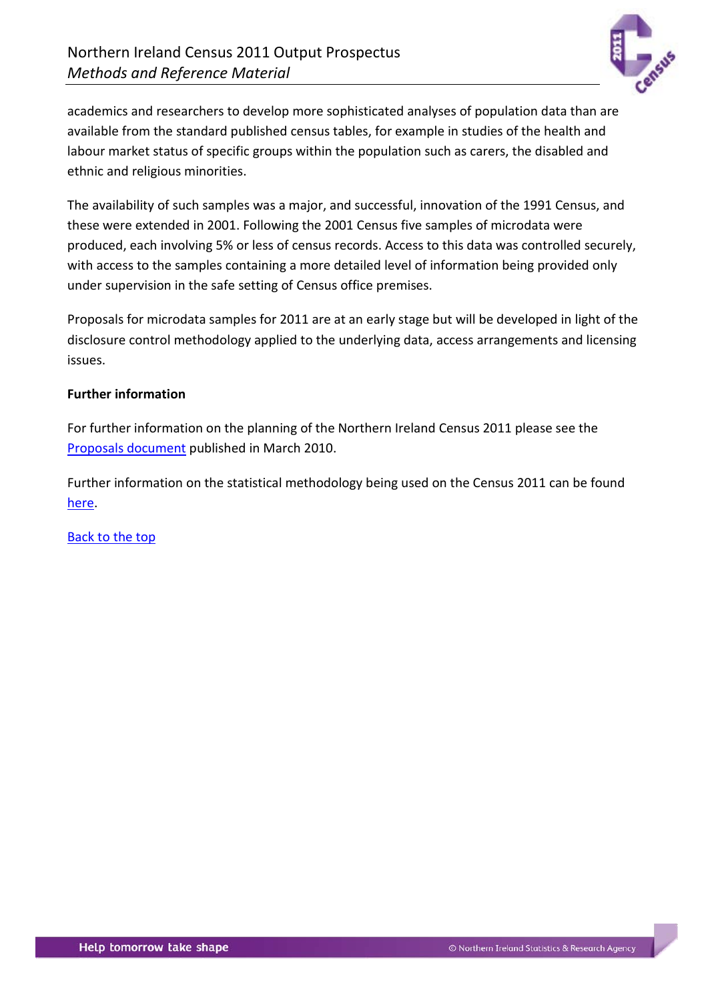

academics and researchers to develop more sophisticated analyses of population data than are available from the standard published census tables, for example in studies of the health and labour market status of specific groups within the population such as carers, the disabled and ethnic and religious minorities.

The availability of such samples was a major, and successful, innovation of the 1991 Census, and these were extended in 2001. Following the 2001 Census five samples of microdata were produced, each involving 5% or less of census records. Access to this data was controlled securely, with access to the samples containing a more detailed level of information being provided only under supervision in the safe setting of Census office premises.

Proposals for microdata samples for 2011 are at an early stage but will be developed in light of the disclosure control methodology applied to the underlying data, access arrangements and licensing issues.

### **Further information**

For further information on the planning of the Northern Ireland Census 2011 please see the [Proposals document](http://www.nisra.gov.uk/archive/census/2011/proposals.pdf) published in March 2010.

Further information on the statistical methodology being used on the Census 2011 can be found [here.](http://www.nisra.gov.uk/census/2011/methodology.html)

[Back to the top](#page-0-0)